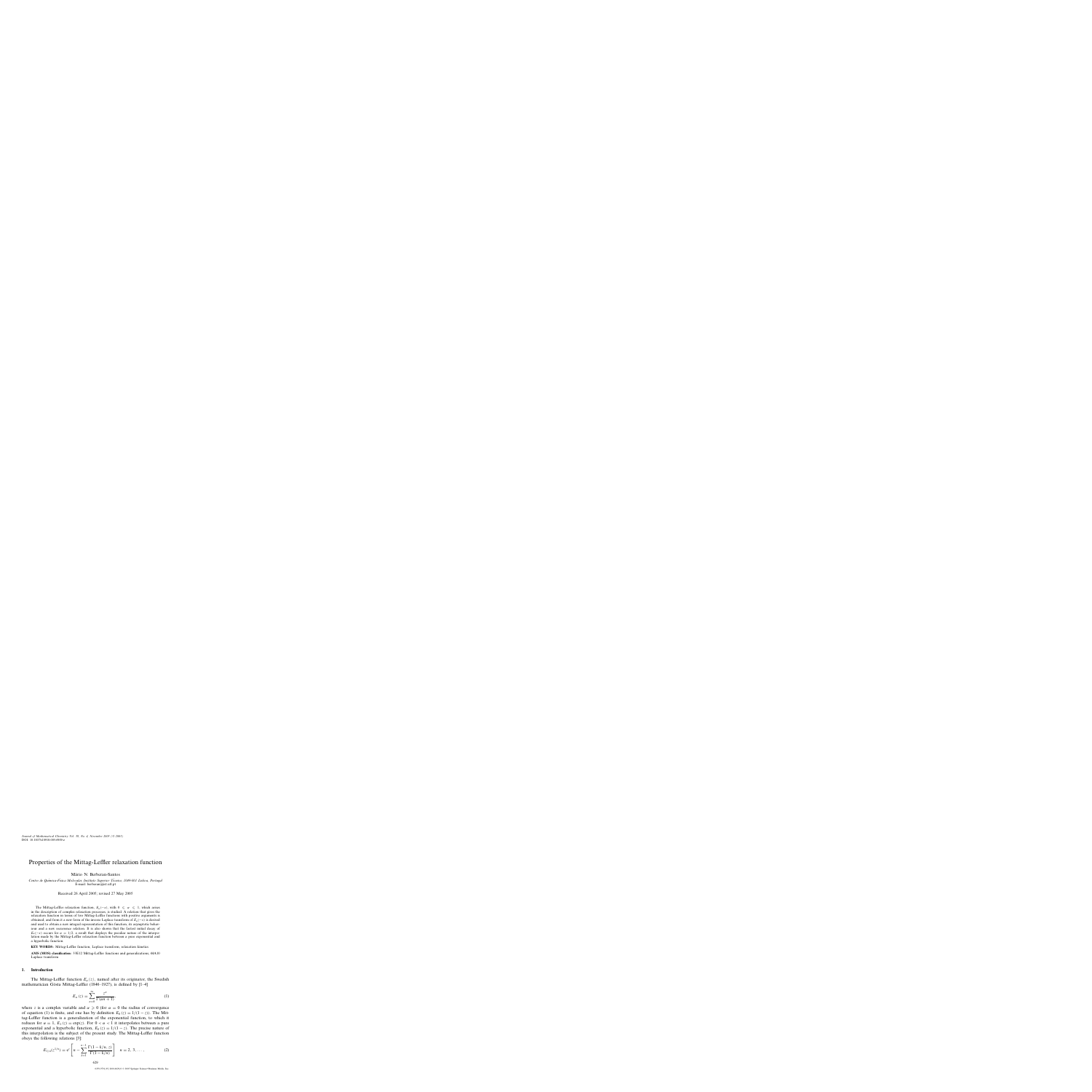DOI: 10.1007/s10910-005-6909-z *Journal of Mathematical Chemistry Vol. 38, No. 4, November 2005 (© 2005)*

# Properties of the Mittag-Leffler relaxation function

Mário N. Berberan-Santos

*Centro de Qu´ımica-F´ısica Molecular, Instituto Superior Tecnico, 1049-001 Lisboa, Portugal ´* E-mail: berberan@ist.utl.pt

Received 26 April 2005; revised 27 May 2005

The Mittag-Leffler relaxation function,  $E_\alpha(-x)$ , with  $0 \leq \alpha \leq 1$ , which arises in the description of complex relaxation processes, is studied. A relation that gives the relaxation function in terms of two Mittag-Leffler functions with positive arguments is obtained, and from it a new form of the inverse Laplace transform of  $E_\alpha(-x)$  is derived and used to obtain a new integral representation of this function, its asymptotic behaviour and a new recurrence relation. It is also shown that the fastest initial decay of  $E_\alpha(-x)$  occurs for  $\alpha = 1/2$ , a result that displays the peculiar nature of the interpolation made by the Mittag-Leffler relaxation function between a pure exponential and a hyperbolic function.

**KEY WORDS:** Mittag-Leffler function, Laplace transform, relaxation kinetics

**AMS (MOS) classification:** 33E12 Mittag-Leffler functions and generalizations, 44A10 Laplace transform

#### **1. Introduction**

The Mittag-Leffler function  $E_\alpha(z)$ , named after its originator, the Swedish mathematician Gösta Mittag-Leffler (1846–1927), is defined by  $[1-4]$ 

$$
E_{\alpha}(z) = \sum_{n=0}^{\infty} \frac{z^n}{\Gamma(\alpha n + 1)},
$$
\n(1)

where *z* is a complex variable and  $\alpha \geq 0$  (for  $\alpha = 0$  the radius of convergence of equation (1) is finite, and one has by definition  $E_0(z) = 1/(1-z)$ . The Mittag-Leffler function is a generalization of the exponential function, to which it reduces for  $\alpha = 1$ ,  $E_1(z) = \exp(z)$ . For  $0 < \alpha < 1$  it interpolates between a pure exponential and a hyperbolic function,  $E_0(z) = 1/(1 - z)$ . The precise nature of this interpolation is the subject of the present study. The Mittag-Leffler function obeys the following relations [3]:

$$
E_{1/n}(z^{1/n}) = e^{z} \left[ n - \sum_{k=1}^{n-1} \frac{\Gamma(1 - k/n, z)}{\Gamma(1 - k/n)} \right] \quad n = 2, 3, \dots,
$$
 (2)

0259-9791/05/1100-0629/0 © 2005 Springer Science+Business Media, Inc.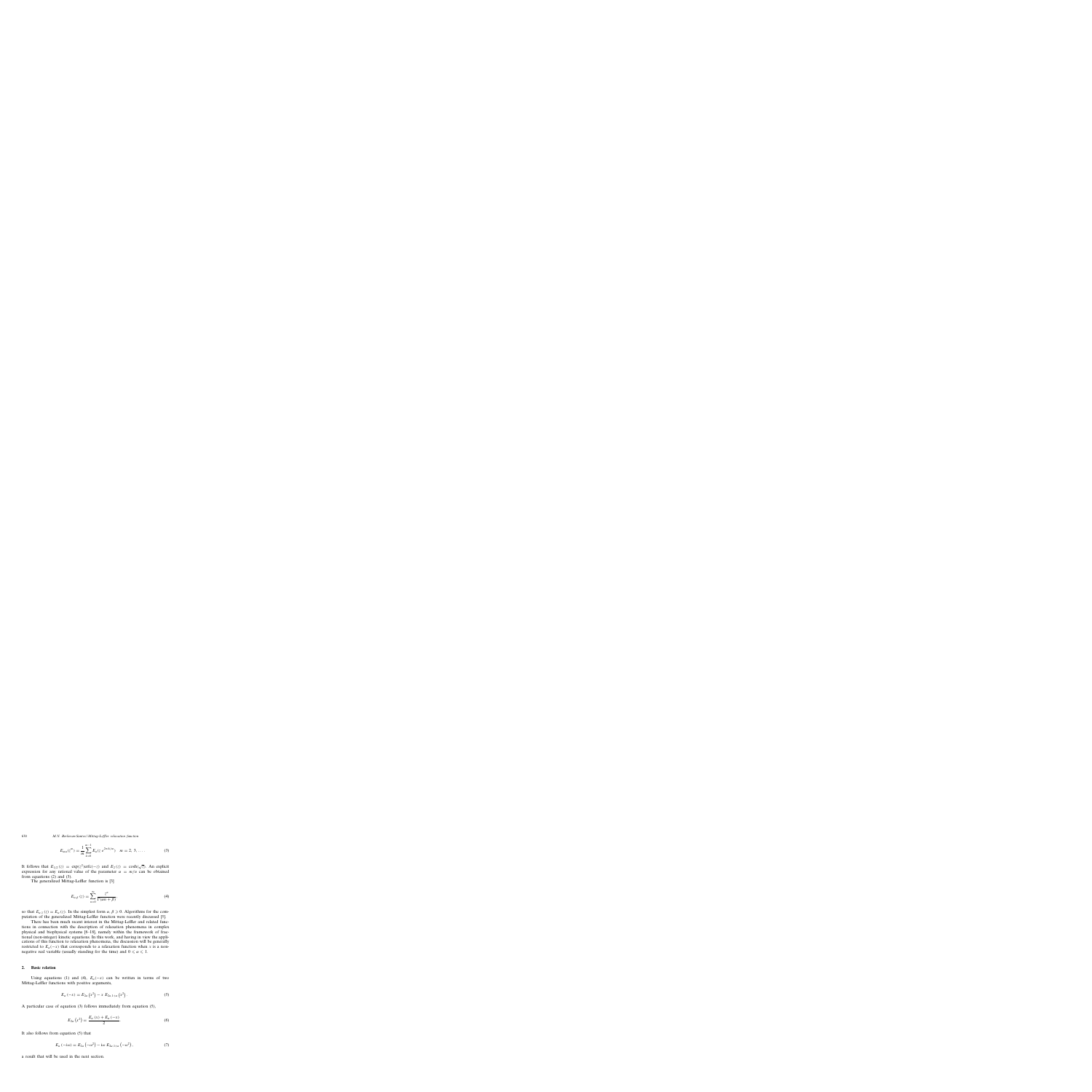$$
E_{m\alpha}(z^m) = \frac{1}{m} \sum_{k=0}^{m-1} E_{\alpha}(z \ e^{2\pi i k/m}) \quad m = 2, 3, \dots \tag{3}
$$

It follows that  $E_{1/2}(z) = \exp(z^2) \operatorname{erfc}(-z)$  and  $E_2(z) = \cosh(\sqrt{z})$ . An explicit expression for any rational value of the parameter  $\alpha = m/n$  can be obtained from equations (2) and (3).

The generalized Mittag-Leffler function is [3]

$$
E_{\alpha,\beta}(z) = \sum_{n=0}^{\infty} \frac{z^n}{\Gamma(\alpha n + \beta)},
$$
\n(4)

so that  $E_{\alpha,1}(z) = E_{\alpha}(z)$ . In the simplest form  $\alpha, \beta \geq 0$ . Algorithms for the computation of the generalized Mittag-Leffler function were recently discussed [5].

There has been much recent interest in the Mittag-Leffler and related functions in connection with the description of relaxation phenomena in complex physical and biophysical systems [6–18], namely within the framework of fractional (non-integer) kinetic equations. In this work, and having in view the applications of this function to relaxation phenomena, the discussion will be generally restricted to  $E_\alpha(-x)$  that corresponds to a relaxation function when *x* is a nonnegative real variable (usually standing for the time) and  $0 \le \alpha \le 1$ .

## **2. Basic relation**

Using equations (1) and (4),  $E_\alpha(-x)$  can be written in terms of two Mittag-Leffler functions with positive arguments,

$$
E_{\alpha}(-x) = E_{2\alpha}(x^{2}) - x E_{2\alpha, 1+\alpha}(x^{2}).
$$
 (5)

A particular case of equation (3) follows immediately from equation (5),

$$
E_{2\alpha}\left(x^2\right) = \frac{E_{\alpha}\left(x\right) + E_{\alpha}\left(-x\right)}{2}.\tag{6}
$$

It also follows from equation (5) that

$$
E_{\alpha}(-i\omega) = E_{2\alpha}(-\omega^2) - i\omega E_{2\alpha,1+\alpha}(-\omega^2), \qquad (7)
$$

a result that will be used in the next section.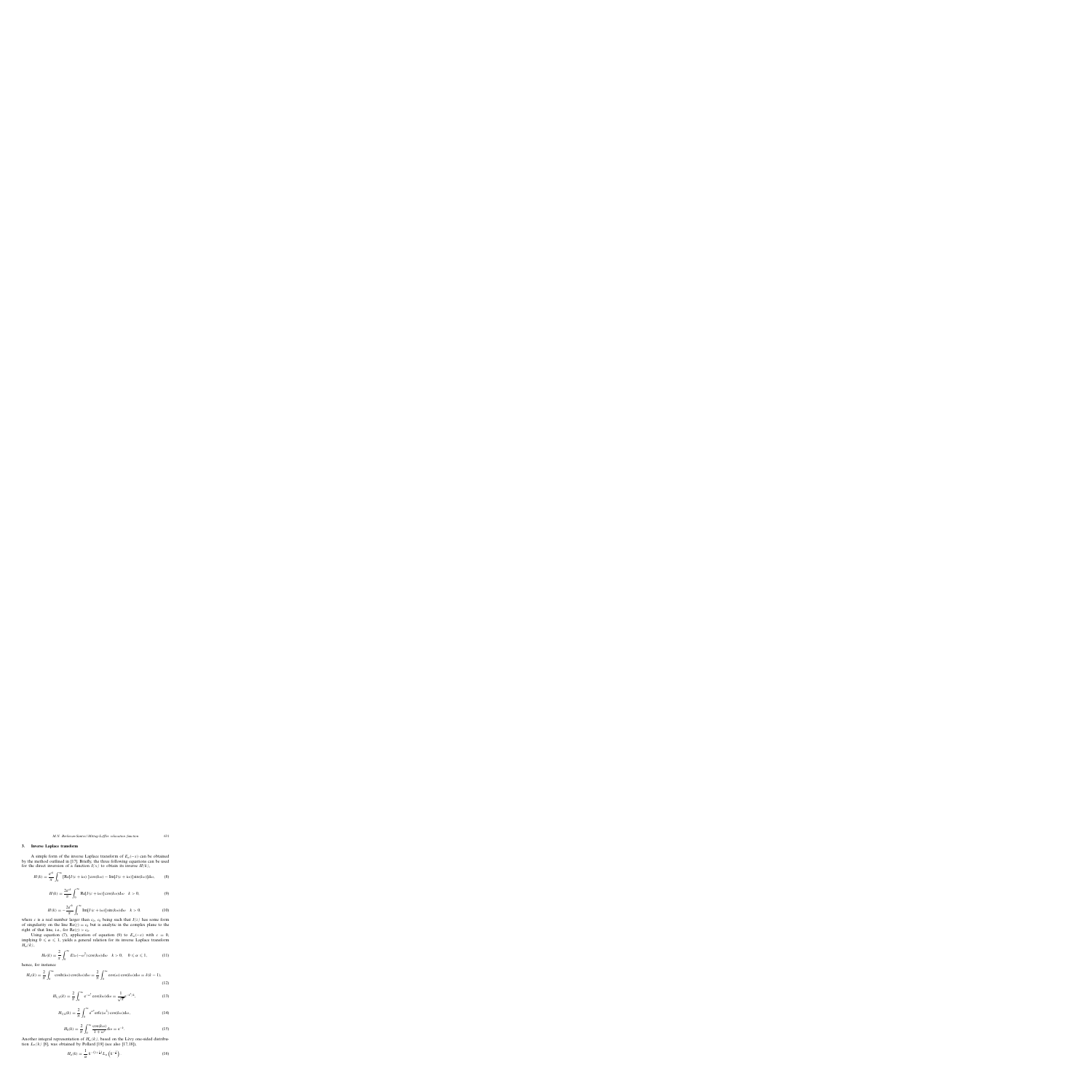## **3. Inverse Laplace transform**

A simple form of the inverse Laplace transform of  $E_\alpha(-x)$  can be obtained by the method outlined in [17]. Briefly, the three following equations can be used for the direct inversion of a function  $I(x)$  to obtain its inverse  $H(k)$ ,

$$
H(k) = \frac{e^{ck}}{\pi} \int_0^\infty \left[ \text{Re}[I(c + i\omega)] \cos(k\omega) - \text{Im}[I(c + i\omega)] \sin(k\omega) \right] d\omega, \tag{8}
$$

$$
H(k) = \frac{2e^{ck}}{\pi} \int_0^\infty \text{Re}[I(c+i\omega)] \cos(k\omega) d\omega \quad k > 0,
$$
 (9)

$$
H(k) = -\frac{2e^{ck}}{\pi} \int_0^\infty \text{Im}[I(c+i\omega)]\sin(k\omega)d\omega \quad k > 0.
$$
 (10)

where *c* is a real number larger than  $c_0$ ,  $c_0$  being such that  $I(z)$  has some form of singularity on the line  $Re(z) = c_0$  but is analytic in the complex plane to the right of that line, i.e., for  $Re(z) > c_0$ .

Using equation (7), application of equation (9) to  $E_{\alpha}(-x)$  with  $c = 0$ , implying  $0 \le \alpha \le 1$ , yields a general relation for its inverse Laplace transform  $H_\alpha(k)$ ,

$$
H_{\alpha}(k) = \frac{2}{\pi} \int_0^{\infty} E_{2\alpha}(-\omega^2) \cos(k\omega) d\omega \quad k > 0, \quad 0 \le \alpha \le 1,
$$
 (11)

hence, for instance

$$
H_1(k) = \frac{2}{\pi} \int_0^\infty \cosh(i\omega) \cos(k\omega) d\omega = \frac{2}{\pi} \int_0^\infty \cos(\omega) \cos(k\omega) d\omega = \delta(k-1),\tag{12}
$$

$$
H_{1/2}(k) = \frac{2}{\pi} \int_0^\infty e^{-\omega^2} \cos(k\omega) d\omega = \frac{1}{\sqrt{\pi}} e^{-k^2/4},
$$
 (13)

$$
H_{1/4}(k) = \frac{2}{\pi} \int_0^\infty e^{\omega^4} \text{erfc}(\omega^2) \cos(k\omega) d\omega, \tag{14}
$$

$$
H_0(k) = \frac{2}{\pi} \int_0^\infty \frac{\cos(k\omega)}{1 + \omega^2} d\omega = e^{-k}.
$$
 (15)

Another integral representation of  $H_{\alpha}(k)$ , based on the Lévy one-sided distribution  $L_{\alpha}(k)$  [8], was obtained by Pollard [19] (see also [17,18]),

$$
H_{\alpha}(k) = \frac{1}{\alpha} k^{-\left(1 + \frac{1}{\alpha}\right)} L_{\alpha}\left(k^{-\frac{1}{\alpha}}\right).
$$
 (16)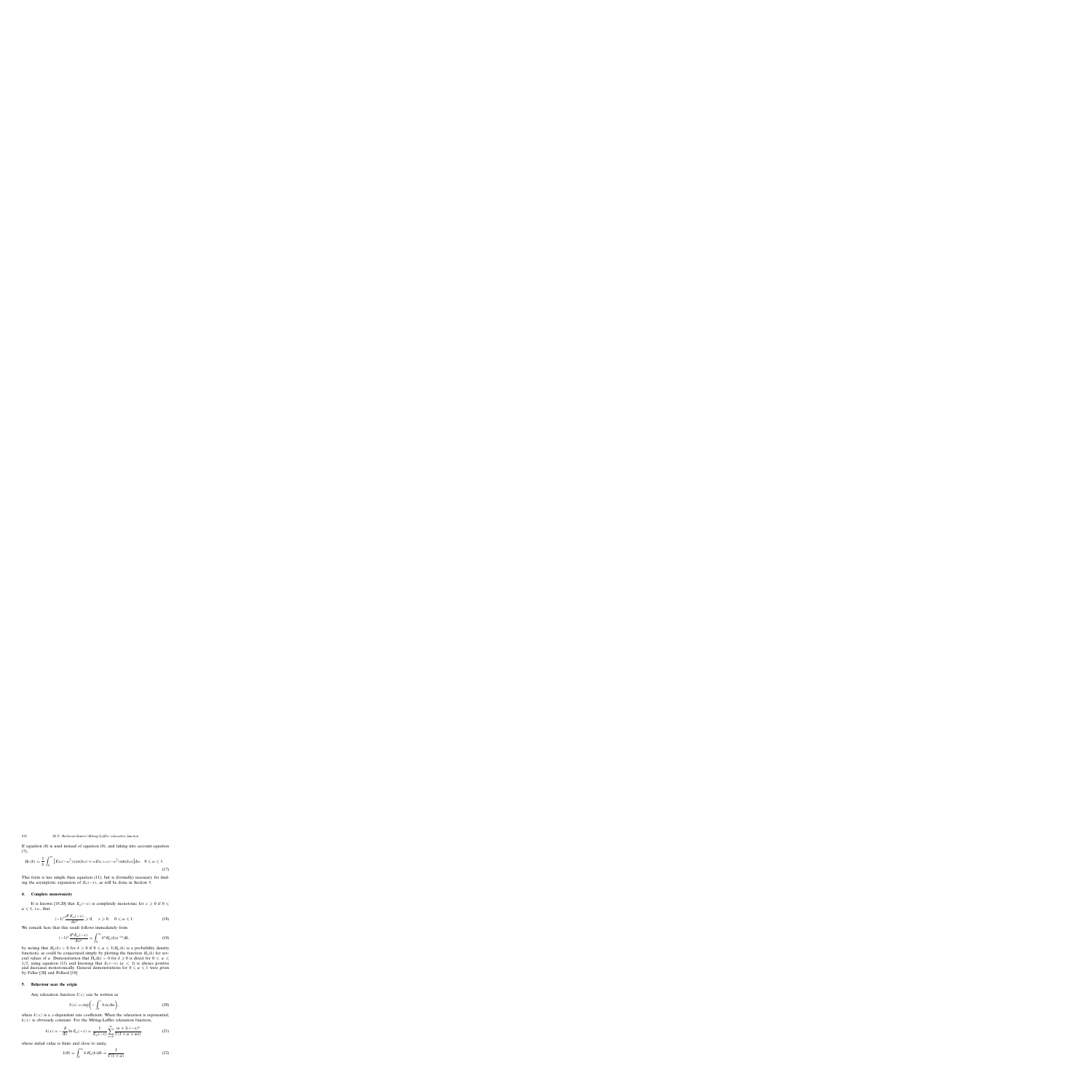If equation (8) is used instead of equation (9), and taking into account equation (7),

$$
H_{\alpha}(k) = \frac{1}{\pi} \int_0^{\infty} \left[ E_{2\alpha}(-\omega^2) \cos(k\omega) + \omega E_{2\alpha, 1+\alpha}(-\omega^2) \sin(k\omega) \right] d\omega \quad 0 \le \alpha \le 1.
$$
\n(17)

This form is less simple than equation (11), but is (formally) necessary for finding the asymptotic expansion of  $E_\alpha(-x)$ , as will be done in Section 5.

## **4. Complete monotonicity**

It is known [19,20] that  $E_\alpha(-x)$  is completely monotonic for  $x \ge 0$  if  $0 \le$  $\alpha \leqslant 1$ , i.e., that

$$
(-1)^n \frac{d^n E_\alpha(-x)}{dx^n} \geq 0, \quad x \geq 0, \quad 0 \leq \alpha \leq 1. \tag{18}
$$

We remark here that this result follows immediately from

$$
(-1)^n \frac{d^n E_\alpha(-x)}{dx^n} = \int_0^\infty k^n H_\alpha(k) e^{-kx} dk,
$$
\n(19)

by noting that  $H_{\alpha}(k) > 0$  for  $k \geq 0$  if  $0 \leq \alpha \leq 1(H_{\alpha}(k))$  is a probability density function), as could be conjectured simply by plotting the function  $H_{\alpha}(k)$  for several values of  $\alpha$ . Demonstration that  $H_{\alpha}(k) > 0$  for  $k \geq 0$  is direct for  $0 \leq \alpha \leq$ 1/2, using equation (11) and knowing that  $E_\alpha(-x)$  ( $\alpha \le 1$ ) is always positive and decreases monotonically. General demonstrations for  $0 \le \alpha \le 1$  were given by Feller [20] and Pollard [19].

#### **5. Behaviour near the origin**

Any relaxation function  $I(x)$  can be written as

$$
I(x) = \exp\left(-\int_0^x k(u) \mathrm{d}u\right),\tag{20}
$$

where  $k(x)$  is a x-dependent rate coefficient. When the relaxation is exponential,  $k(x)$  is obviously constant. For the Mittag-Leffler relaxation function,

$$
k(x) = -\frac{d}{dx} \ln E_{\alpha}(-x) = \frac{1}{E_{\alpha}(-x)} \sum_{n=0}^{\infty} \frac{(n+1)(-x)^n}{\Gamma(1+\alpha+\alpha n)},
$$
(21)

whose initial value is finite and close to unity,

$$
k(0) = \int_0^\infty k H_\alpha(k) \mathrm{d}k = \frac{1}{\Gamma(1+\alpha)}.\tag{22}
$$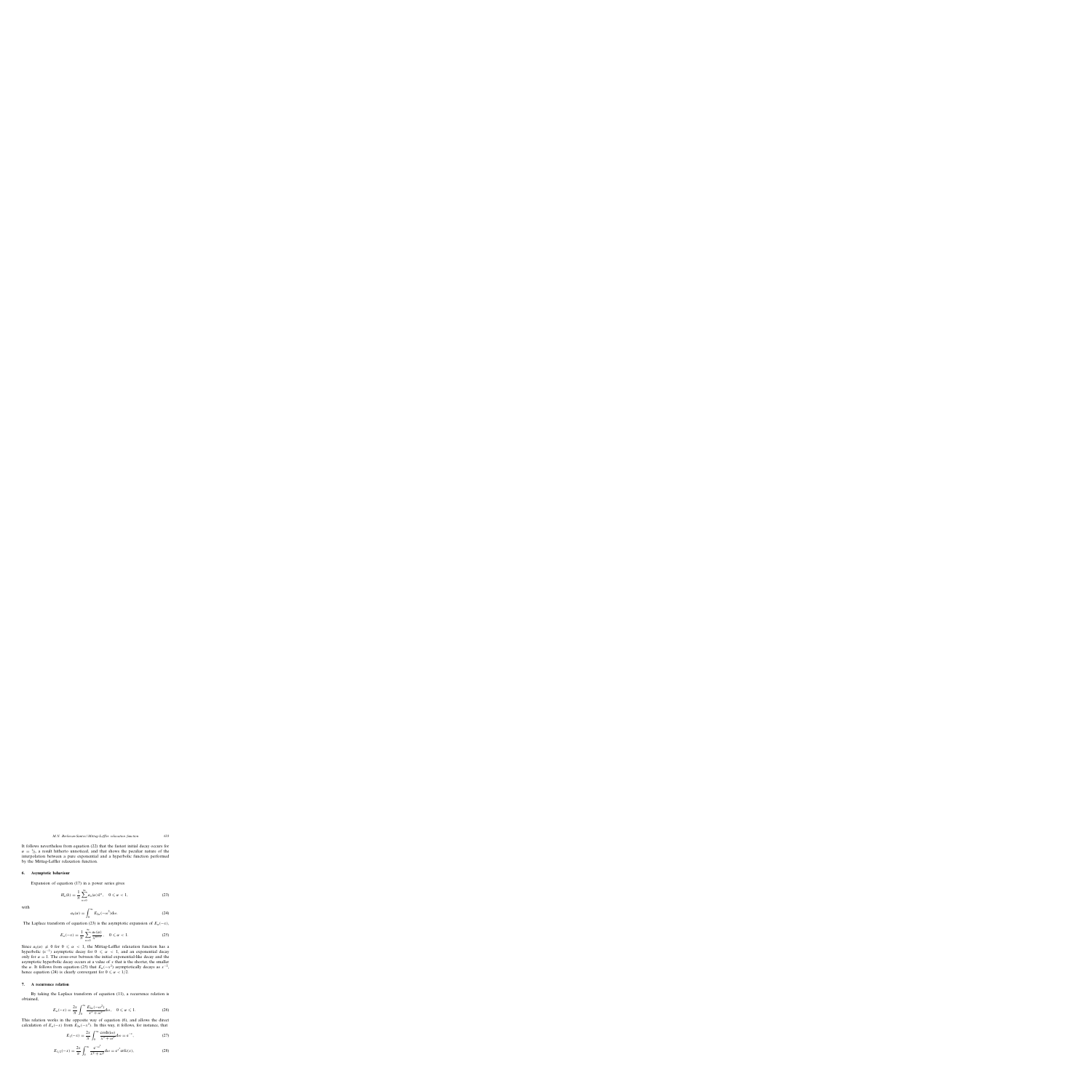It follows nevertheless from equation (22) that the fastest initial decay occurs for  $\alpha = \frac{1}{2}$ , a result hitherto unnoticed, and that shows the peculiar nature of the interpolation between a pure exponential and a hyperbolic function performed by the Mittag-Leffler relaxation function.

#### **6. Asymptotic behaviour**

Expansion of equation (17) in a power series gives

$$
H_{\alpha}(k) = \frac{1}{\pi} \sum_{n=0}^{\infty} a_n(\alpha) k^n, \quad 0 \le \alpha < 1,\tag{23}
$$

with

$$
a_0(\alpha) = \int_0^\infty E_{2\alpha}(-\omega^2) d\omega.
$$
 (24)

The Laplace transform of equation (23) is the asymptotic expansion of  $E_\alpha(-x)$ ,

$$
E_{\alpha}(-x) = \frac{1}{\pi} \sum_{n=0}^{\infty} \frac{a_n(\alpha)}{x^{n+1}}, \quad 0 \le \alpha < 1. \tag{25}
$$

Since  $a_0(\alpha) \neq 0$  for  $0 \leq \alpha < 1$ , the Mittag-Leffler relaxation function has a hyperbolic  $(x^{-1})$  asymptotic decay for  $0 \le \alpha < 1$ , and an exponential decay only for  $\alpha = 1$ . The cross-over between the initial exponential-like decay and the asymptotic hyperbolic decay occurs at a value of *x* that is the shorter, the smaller the  $\alpha$ . It follows from equation (25) that  $E_{\alpha}(-x^2)$  asymptotically decays as  $x^{-2}$ , hence equation (24) is clearly convergent for  $0 \le \alpha < 1/2$ .

# **7. A recurrence relation**

By taking the Laplace transform of equation (11), a recurrence relation is obtained,

$$
E_{\alpha}(-x) = \frac{2x}{\pi} \int_0^{\infty} \frac{E_{2\alpha}(-\omega^2)}{x^2 + \omega^2} d\omega, \quad 0 \le \alpha \le 1.
$$
 (26)

This relation works in the opposite way of equation (6), and allows the direct calculation of  $E_\alpha(-x)$  from  $E_{2\alpha}(-x^2)$ . In this way, it follows, for instance, that

$$
E_1(-x) = \frac{2x}{\pi} \int_0^\infty \frac{\cosh(i\omega)}{x^2 + \omega^2} d\omega = e^{-x},\tag{27}
$$

$$
E_{1/2}(-x) = \frac{2x}{\pi} \int_0^\infty \frac{e^{-\omega^2}}{x^2 + \omega^2} d\omega = e^{x^2} \text{erfc}(x), \tag{28}
$$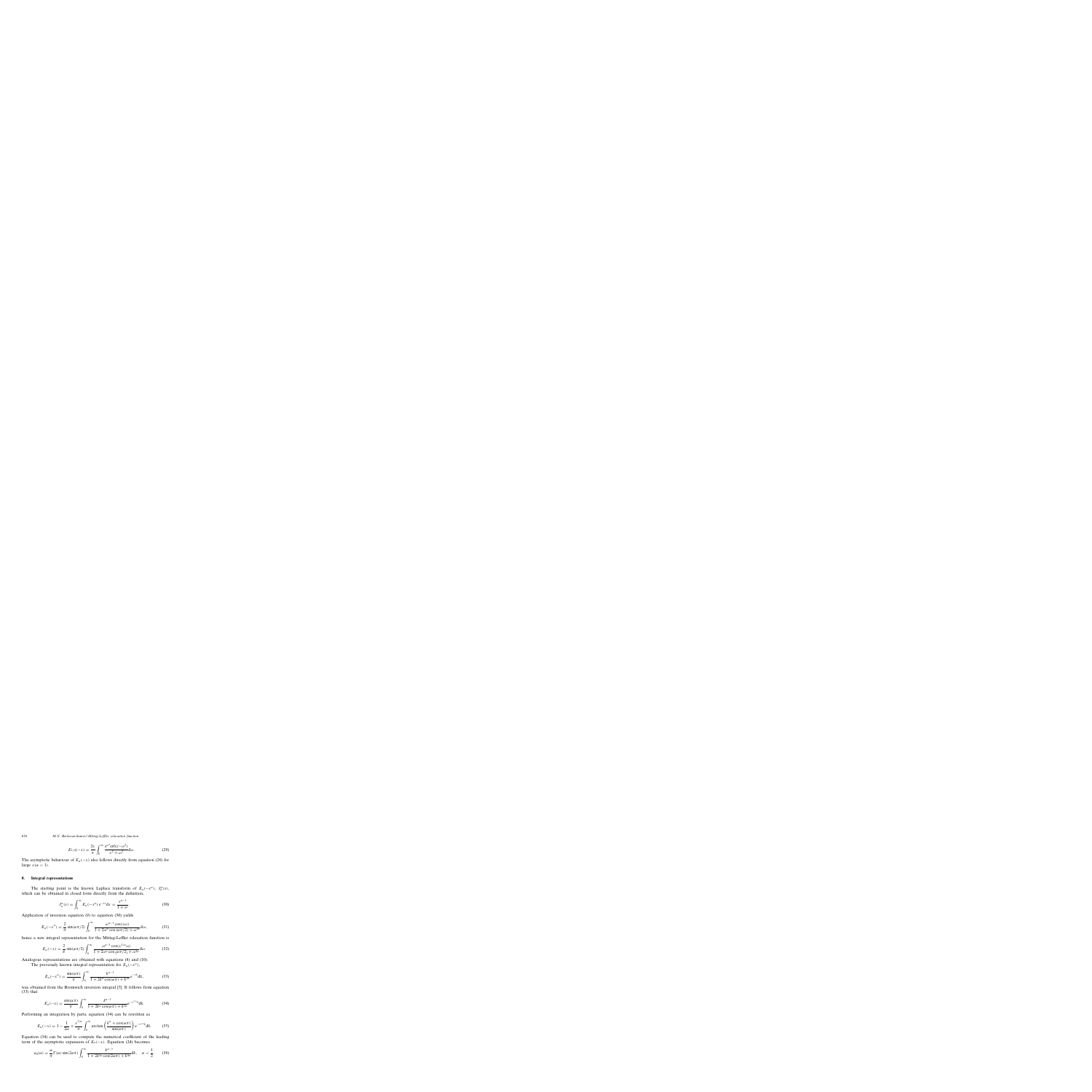$$
E_{1/4}(-x) = \frac{2x}{\pi} \int_0^\infty \frac{e^{\omega^4} \text{erfc}(-\omega^2)}{x^2 + \omega^2} d\omega.
$$
 (29)

The asymptotic behaviour of  $E_{\alpha}(-x)$  also follows directly from equation (26) for large  $x(\alpha < 1)$ .

# **8. Integral representations**

The starting point is the known Laplace transform of  $E_{\alpha}(-x^{\alpha})$ ,  $J_{\alpha}^{\alpha}(s)$ , which can be obtained in closed form directly from the definition,

$$
J_{\alpha}^{\alpha}(s) = \int_0^{\infty} E_{\alpha}(-x^{\alpha}) e^{-sx} dx = \frac{s^{\alpha-1}}{1+s^{\alpha}}.
$$
 (30)

Application of inversion equation (9) to equation (30) yields

$$
E_{\alpha}(-x^{\alpha}) = \frac{2}{\pi} \sin(\alpha \pi/2) \int_0^{\infty} \frac{\omega^{\alpha-1} \cos(x\omega)}{1 + 2\omega^{\alpha} \cos(\alpha \pi/2) + \omega^{2\alpha}} d\omega, \tag{31}
$$

hence a new integral representation for the Mittag-Leffler relaxation function is

$$
E_{\alpha}(-x) = \frac{2}{\pi} \sin(\alpha \pi/2) \int_0^{\infty} \frac{\omega^{\alpha-1} \cos(x^{1/\alpha}\omega)}{1 + 2\omega^{\alpha} \cos(\alpha \pi/2) + \omega^{2\alpha}} d\omega.
$$
 (32)

Analogous representations are obtained with equations (8) and (10).

The previously known integral representation for  $E_{\alpha}(-x^{\alpha})$ ,

$$
E_{\alpha}(-x^{\alpha}) = \frac{\sin(\alpha \pi)}{\pi} \int_0^{\infty} \frac{k^{\alpha-1}}{1 + 2k^{\alpha} \cos(\alpha \pi) + k^{2\alpha}} e^{-xk} dk,
$$
 (33)

was obtained from the Bromwich inversion integral [5]. It follows from equation (33) that

$$
E_{\alpha}(-x) = \frac{\sin(\alpha \pi)}{\pi} \int_0^{\infty} \frac{k^{\alpha-1}}{1 + 2k^{\alpha} \cos(\alpha \pi) + k^{2\alpha}} e^{-x^{1/\alpha} k} dk.
$$
 (34)

Performing an integration by parts, equation (34) can be rewritten as

$$
E_{\alpha}(-x) = 1 - \frac{1}{2\alpha} + \frac{x^{1/\alpha}}{\pi} \int_0^{\infty} \arctan\left(\frac{k^{\alpha} + \cos(\alpha \pi)}{\sin(\alpha \pi)}\right) e^{-x^{1/\alpha}k} dk.
$$
 (35)

Equation (34) can be used to compute the numerical coefficient of the leading term of the asymptotic expansion of  $E_\alpha(-x)$ . Equation (24) becomes

$$
a_0(\alpha) = \frac{\alpha}{\pi} \Gamma(\alpha) \sin(2\alpha \pi) \int_0^\infty \frac{k^{\alpha-1}}{1 + 2k^{2\alpha} \cos(2\alpha \pi) + k^{4\alpha}} dk, \quad \alpha < \frac{1}{2}.
$$
 (36)